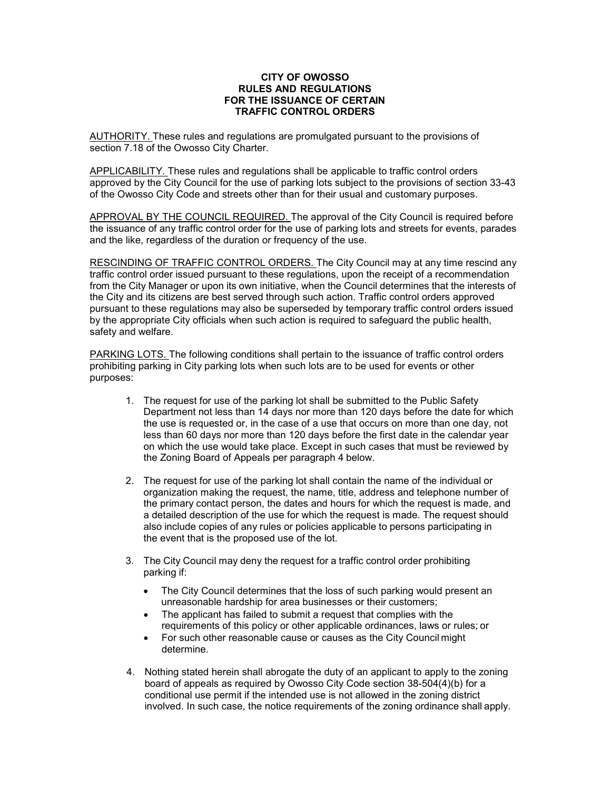## **CITY OF OWOSSO RULES AND REGULATIONS FOR THE ISSUANCE OF CERTAIN TRAFFIC CONTROL ORDERS**

AUTHORITY. These rules and regulations are promulgated pursuant to the provisions of section 7.18 of the Owosso City Charter.

APPLICABILITY. These rules and regulations shall be applicable to traffic control orders approved by the City Council for the use of parking lots subject to the provisions of section 33-43 of the Owosso City Code and streets other than for their usual and customary purposes.

APPROVAL BY THE COUNCIL REQUIRED. The approval of the City Council is required before the issuance of any traffic control order for the use of parking lots and streets for events, parades and the like, regardless of the duration or frequency of the use.

RESCINDING OF TRAFFIC CONTROL ORDERS. The City Council may at any time rescind any traffic control order issued pursuant to these regulations, upon the receipt of a recommendation from the City Manager or upon its own initiative, when the Council determines that the interests of the City and its citizens are best served through such action. Traffic control orders approved pursuant to these regulations may also be superseded by temporary traffic control orders issued by the appropriate City officials when such action is required to safeguard the public health, safety and welfare.

PARKING LOTS. The following conditions shall pertain to the issuance of traffic control orders prohibiting parking in City parking lots when such lots are to be used for events or other purposes:

- 1. The request for use of the parking lot shall be submitted to the Public Safety Department not less than 14 days nor more than 120 days before the date for which the use is requested or, in the case of a use that occurs on more than one day, not less than 60 days nor more than 120 days before the first date in the calendar year on which the use would take place. Except in such cases that must be reviewed by the Zoning Board of Appeals per paragraph 4 below.
- 2. The request for use of the parking lot shall contain the name of the individual or organization making the request, the name, title, address and telephone number of the primary contact person, the dates and hours for which the request is made, and a detailed description of the use for which the request is made. The request should also include copies of any rules or policies applicable to persons participating in the event that is the proposed use of the lot.
- 3. The City Council may deny the request for a traffic control order prohibiting parking if:
	- The City Council determines that the loss of such parking would present an unreasonable hardship for area businesses or their customers;
	- The applicant has failed to submit a request that complies with the requirements of this policy or other applicable ordinances, laws or rules; or
	- For such other reasonable cause or causes as the City Council might determine.
- 4. Nothing stated herein shall abrogate the duty of an applicant to apply to the zoning board of appeals as required by Owosso City Code section 38-504(4)(b) for a conditional use permit if the intended use is not allowed in the zoning district involved. In such case, the notice requirements of the zoning ordinance shall apply.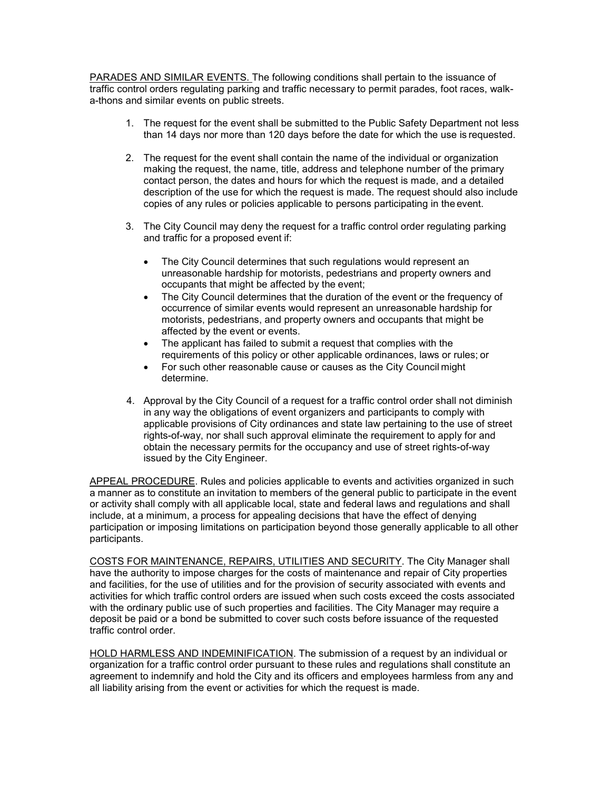PARADES AND SIMILAR EVENTS. The following conditions shall pertain to the issuance of traffic control orders regulating parking and traffic necessary to permit parades, foot races, walka-thons and similar events on public streets.

- 1. The request for the event shall be submitted to the Public Safety Department not less than 14 days nor more than 120 days before the date for which the use is requested.
- 2. The request for the event shall contain the name of the individual or organization making the request, the name, title, address and telephone number of the primary contact person, the dates and hours for which the request is made, and a detailed description of the use for which the request is made. The request should also include copies of any rules or policies applicable to persons participating in the event.
- 3. The City Council may deny the request for a traffic control order regulating parking and traffic for a proposed event if:
	- The City Council determines that such regulations would represent an unreasonable hardship for motorists, pedestrians and property owners and occupants that might be affected by the event;
	- The City Council determines that the duration of the event or the frequency of occurrence of similar events would represent an unreasonable hardship for motorists, pedestrians, and property owners and occupants that might be affected by the event or events.
	- The applicant has failed to submit a request that complies with the requirements of this policy or other applicable ordinances, laws or rules; or
	- For such other reasonable cause or causes as the City Council might determine.
- 4. Approval by the City Council of a request for a traffic control order shall not diminish in any way the obligations of event organizers and participants to comply with applicable provisions of City ordinances and state law pertaining to the use of street rights-of-way, nor shall such approval eliminate the requirement to apply for and obtain the necessary permits for the occupancy and use of street rights-of-way issued by the City Engineer.

APPEAL PROCEDURE. Rules and policies applicable to events and activities organized in such a manner as to constitute an invitation to members of the general public to participate in the event or activity shall comply with all applicable local, state and federal laws and regulations and shall include, at a minimum, a process for appealing decisions that have the effect of denying participation or imposing limitations on participation beyond those generally applicable to all other participants.

COSTS FOR MAINTENANCE, REPAIRS, UTILITIES AND SECURITY. The City Manager shall have the authority to impose charges for the costs of maintenance and repair of City properties and facilities, for the use of utilities and for the provision of security associated with events and activities for which traffic control orders are issued when such costs exceed the costs associated with the ordinary public use of such properties and facilities. The City Manager may require a deposit be paid or a bond be submitted to cover such costs before issuance of the requested traffic control order.

HOLD HARMLESS AND INDEMINIFICATION. The submission of a request by an individual or organization for a traffic control order pursuant to these rules and regulations shall constitute an agreement to indemnify and hold the City and its officers and employees harmless from any and all liability arising from the event or activities for which the request is made.